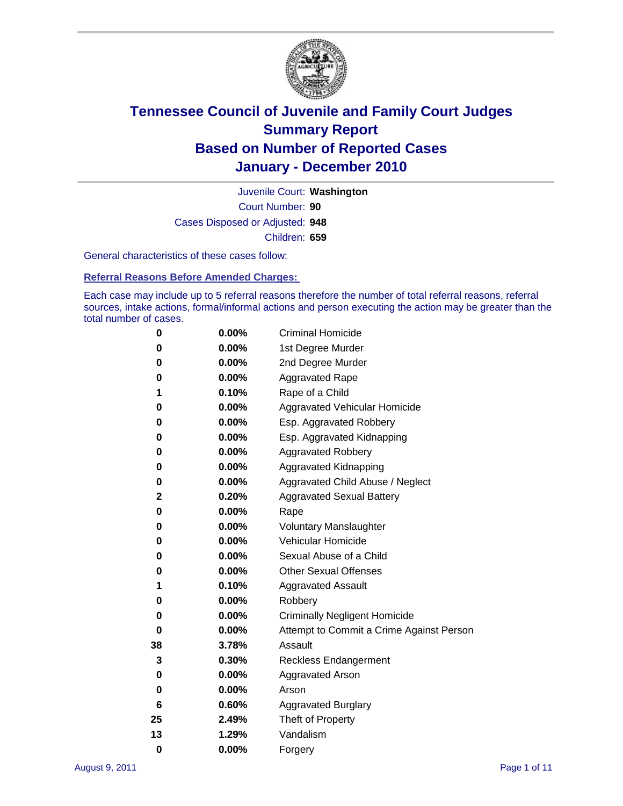

Court Number: **90** Juvenile Court: **Washington** Cases Disposed or Adjusted: **948** Children: **659**

General characteristics of these cases follow:

**Referral Reasons Before Amended Charges:** 

Each case may include up to 5 referral reasons therefore the number of total referral reasons, referral sources, intake actions, formal/informal actions and person executing the action may be greater than the total number of cases.

| 0  | $0.00\%$ | <b>Criminal Homicide</b>                 |
|----|----------|------------------------------------------|
| 0  | 0.00%    | 1st Degree Murder                        |
| 0  | 0.00%    | 2nd Degree Murder                        |
| 0  | 0.00%    | <b>Aggravated Rape</b>                   |
| 1  | 0.10%    | Rape of a Child                          |
| 0  | 0.00%    | Aggravated Vehicular Homicide            |
| 0  | 0.00%    | Esp. Aggravated Robbery                  |
| 0  | 0.00%    | Esp. Aggravated Kidnapping               |
| 0  | 0.00%    | <b>Aggravated Robbery</b>                |
| 0  | 0.00%    | Aggravated Kidnapping                    |
| 0  | 0.00%    | Aggravated Child Abuse / Neglect         |
| 2  | 0.20%    | <b>Aggravated Sexual Battery</b>         |
| 0  | 0.00%    | Rape                                     |
| 0  | $0.00\%$ | <b>Voluntary Manslaughter</b>            |
| 0  | 0.00%    | Vehicular Homicide                       |
| 0  | 0.00%    | Sexual Abuse of a Child                  |
| 0  | 0.00%    | <b>Other Sexual Offenses</b>             |
| 1  | 0.10%    | <b>Aggravated Assault</b>                |
| 0  | 0.00%    | Robbery                                  |
| 0  | 0.00%    | <b>Criminally Negligent Homicide</b>     |
| 0  | 0.00%    | Attempt to Commit a Crime Against Person |
| 38 | 3.78%    | Assault                                  |
| 3  | 0.30%    | <b>Reckless Endangerment</b>             |
| 0  | 0.00%    | <b>Aggravated Arson</b>                  |
| 0  | 0.00%    | Arson                                    |
| 6  | 0.60%    | <b>Aggravated Burglary</b>               |
| 25 | 2.49%    | Theft of Property                        |
| 13 | 1.29%    | Vandalism                                |
| 0  | 0.00%    | Forgery                                  |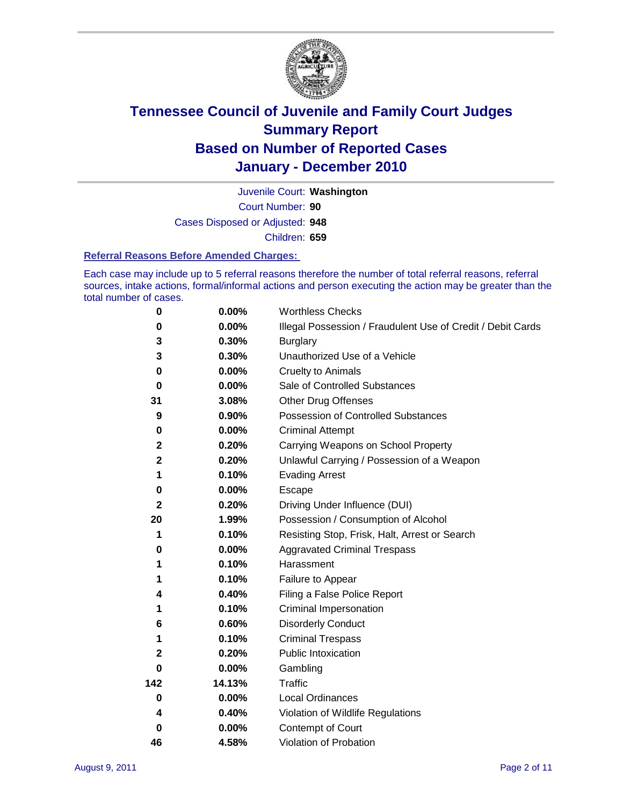

Court Number: **90** Juvenile Court: **Washington** Cases Disposed or Adjusted: **948** Children: **659**

#### **Referral Reasons Before Amended Charges:**

Each case may include up to 5 referral reasons therefore the number of total referral reasons, referral sources, intake actions, formal/informal actions and person executing the action may be greater than the total number of cases.

| $\pmb{0}$    | 0.00%    | <b>Worthless Checks</b>                                     |
|--------------|----------|-------------------------------------------------------------|
| 0            | 0.00%    | Illegal Possession / Fraudulent Use of Credit / Debit Cards |
| 3            | 0.30%    | <b>Burglary</b>                                             |
| 3            | 0.30%    | Unauthorized Use of a Vehicle                               |
| 0            | $0.00\%$ | <b>Cruelty to Animals</b>                                   |
| $\bf{0}$     | 0.00%    | Sale of Controlled Substances                               |
| 31           | 3.08%    | <b>Other Drug Offenses</b>                                  |
| 9            | 0.90%    | Possession of Controlled Substances                         |
| 0            | $0.00\%$ | <b>Criminal Attempt</b>                                     |
| $\mathbf 2$  | 0.20%    | Carrying Weapons on School Property                         |
| $\mathbf 2$  | 0.20%    | Unlawful Carrying / Possession of a Weapon                  |
| 1            | 0.10%    | <b>Evading Arrest</b>                                       |
| 0            | 0.00%    | Escape                                                      |
| $\mathbf{2}$ | 0.20%    | Driving Under Influence (DUI)                               |
| 20           | 1.99%    | Possession / Consumption of Alcohol                         |
| 1            | 0.10%    | Resisting Stop, Frisk, Halt, Arrest or Search               |
| 0            | $0.00\%$ | <b>Aggravated Criminal Trespass</b>                         |
| 1            | 0.10%    | Harassment                                                  |
| 1            | 0.10%    | Failure to Appear                                           |
| 4            | 0.40%    | Filing a False Police Report                                |
| 1            | 0.10%    | Criminal Impersonation                                      |
| 6            | 0.60%    | <b>Disorderly Conduct</b>                                   |
| 1            | 0.10%    | <b>Criminal Trespass</b>                                    |
| 2            | 0.20%    | Public Intoxication                                         |
| 0            | $0.00\%$ | Gambling                                                    |
| 142          | 14.13%   | Traffic                                                     |
| 0            | $0.00\%$ | <b>Local Ordinances</b>                                     |
| 4            | 0.40%    | Violation of Wildlife Regulations                           |
| 0            | $0.00\%$ | Contempt of Court                                           |
| 46           | 4.58%    | Violation of Probation                                      |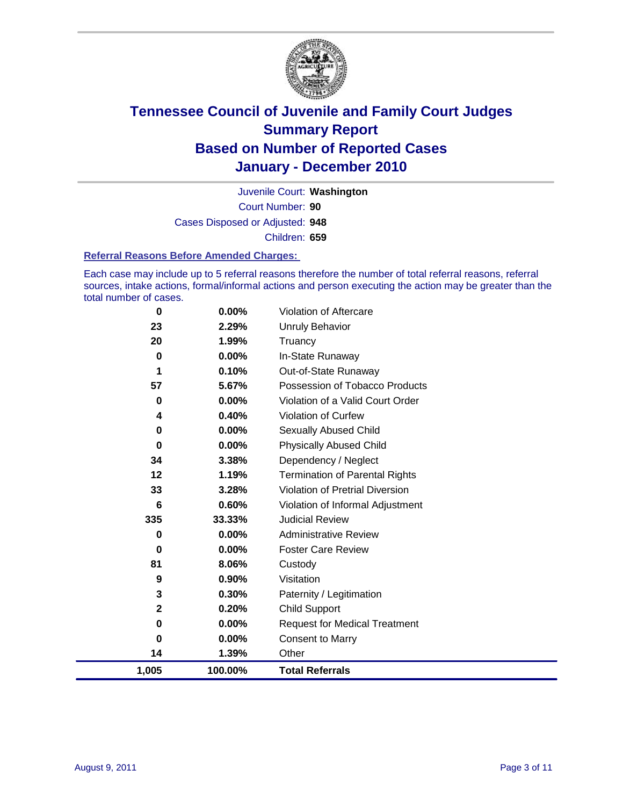

Court Number: **90** Juvenile Court: **Washington** Cases Disposed or Adjusted: **948** Children: **659**

#### **Referral Reasons Before Amended Charges:**

Each case may include up to 5 referral reasons therefore the number of total referral reasons, referral sources, intake actions, formal/informal actions and person executing the action may be greater than the total number of cases.

| 0     | 0.00%   | Violation of Aftercare                 |
|-------|---------|----------------------------------------|
| 23    | 2.29%   | <b>Unruly Behavior</b>                 |
| 20    | 1.99%   | Truancy                                |
| 0     | 0.00%   | In-State Runaway                       |
| 1     | 0.10%   | Out-of-State Runaway                   |
| 57    | 5.67%   | Possession of Tobacco Products         |
| 0     | 0.00%   | Violation of a Valid Court Order       |
| 4     | 0.40%   | Violation of Curfew                    |
| 0     | 0.00%   | <b>Sexually Abused Child</b>           |
| 0     | 0.00%   | <b>Physically Abused Child</b>         |
| 34    | 3.38%   | Dependency / Neglect                   |
| 12    | 1.19%   | <b>Termination of Parental Rights</b>  |
| 33    | 3.28%   | <b>Violation of Pretrial Diversion</b> |
| 6     | 0.60%   | Violation of Informal Adjustment       |
| 335   | 33.33%  | <b>Judicial Review</b>                 |
| 0     | 0.00%   | <b>Administrative Review</b>           |
| 0     | 0.00%   | <b>Foster Care Review</b>              |
| 81    | 8.06%   | Custody                                |
| 9     | 0.90%   | Visitation                             |
| 3     | 0.30%   | Paternity / Legitimation               |
| 2     | 0.20%   | <b>Child Support</b>                   |
| 0     | 0.00%   | <b>Request for Medical Treatment</b>   |
| 0     | 0.00%   | <b>Consent to Marry</b>                |
| 14    | 1.39%   | Other                                  |
| 1,005 | 100.00% | <b>Total Referrals</b>                 |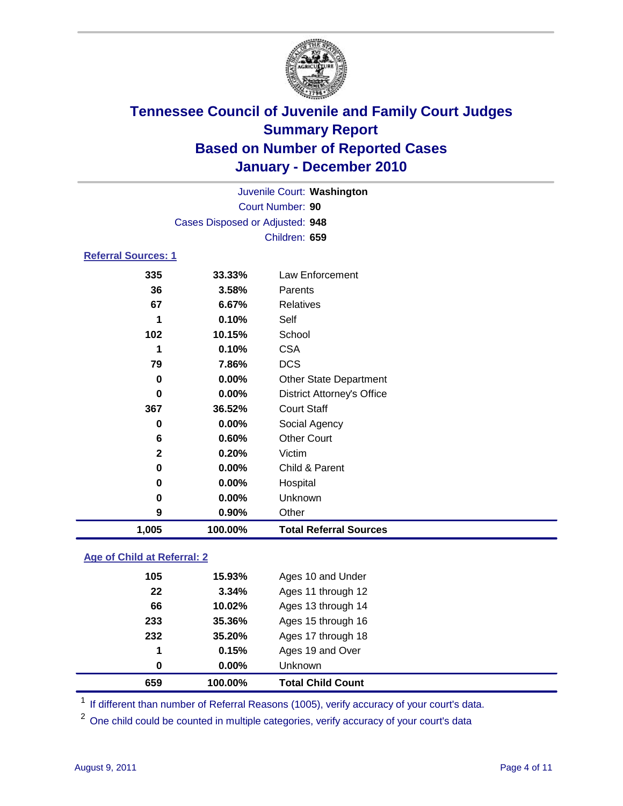

|                            | Juvenile Court: Washington      |                                   |  |  |  |
|----------------------------|---------------------------------|-----------------------------------|--|--|--|
|                            | Court Number: 90                |                                   |  |  |  |
|                            | Cases Disposed or Adjusted: 948 |                                   |  |  |  |
|                            |                                 | Children: 659                     |  |  |  |
| <b>Referral Sources: 1</b> |                                 |                                   |  |  |  |
| 335                        | 33.33%                          | <b>Law Enforcement</b>            |  |  |  |
| 36                         | 3.58%                           | Parents                           |  |  |  |
| 67                         | 6.67%                           | <b>Relatives</b>                  |  |  |  |
| 1                          | 0.10%                           | Self                              |  |  |  |
| 102                        | 10.15%                          | School                            |  |  |  |
| 1                          | 0.10%                           | <b>CSA</b>                        |  |  |  |
| 79                         | 7.86%                           | <b>DCS</b>                        |  |  |  |
| 0                          | 0.00%                           | Other State Department            |  |  |  |
| $\bf{0}$                   | 0.00%                           | <b>District Attorney's Office</b> |  |  |  |
| 367                        | 36.52%                          | <b>Court Staff</b>                |  |  |  |
| 0                          | 0.00%                           | Social Agency                     |  |  |  |
| 6                          | 0.60%                           | <b>Other Court</b>                |  |  |  |
| $\mathbf{2}$               | 0.20%                           | Victim                            |  |  |  |
| $\mathbf 0$                | 0.00%                           | Child & Parent                    |  |  |  |
| 0                          | 0.00%                           | Hospital                          |  |  |  |
| 0                          | 0.00%                           | Unknown                           |  |  |  |
| 9                          | 0.90%                           | Other                             |  |  |  |
| 1,005                      | 100.00%                         | <b>Total Referral Sources</b>     |  |  |  |
|                            |                                 |                                   |  |  |  |

### **Age of Child at Referral: 2**

| 659 | 100.00% | <b>Total Child Count</b> |
|-----|---------|--------------------------|
| 0   | 0.00%   | <b>Unknown</b>           |
| 1   | 0.15%   | Ages 19 and Over         |
| 232 | 35.20%  | Ages 17 through 18       |
| 233 | 35.36%  | Ages 15 through 16       |
| 66  | 10.02%  | Ages 13 through 14       |
| 22  | 3.34%   | Ages 11 through 12       |
| 105 | 15.93%  | Ages 10 and Under        |
|     |         |                          |

<sup>1</sup> If different than number of Referral Reasons (1005), verify accuracy of your court's data.

<sup>2</sup> One child could be counted in multiple categories, verify accuracy of your court's data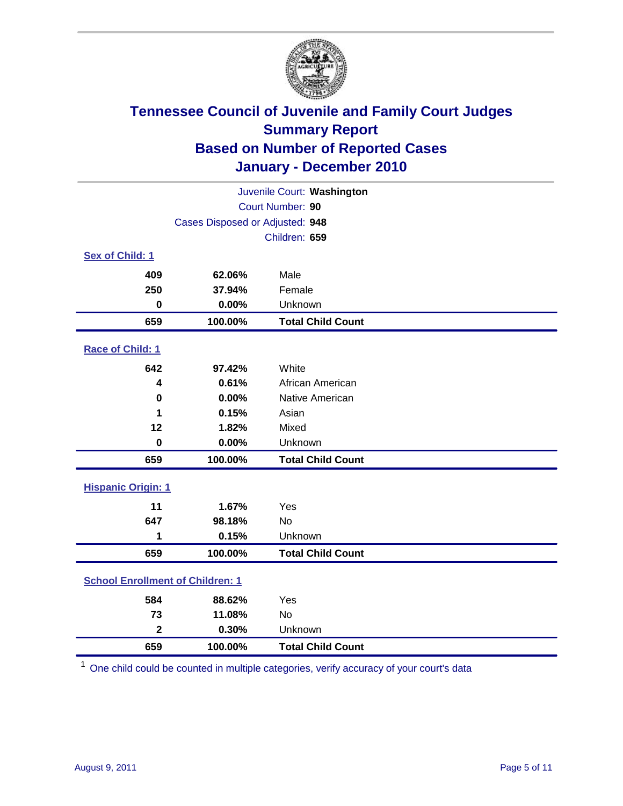

| Juvenile Court: Washington              |                                 |                          |  |  |  |
|-----------------------------------------|---------------------------------|--------------------------|--|--|--|
|                                         | Court Number: 90                |                          |  |  |  |
|                                         | Cases Disposed or Adjusted: 948 |                          |  |  |  |
|                                         |                                 | Children: 659            |  |  |  |
| Sex of Child: 1                         |                                 |                          |  |  |  |
| 409                                     | 62.06%                          | Male                     |  |  |  |
| 250                                     | 37.94%                          | Female                   |  |  |  |
| $\mathbf 0$                             | 0.00%                           | Unknown                  |  |  |  |
| 659                                     | 100.00%                         | <b>Total Child Count</b> |  |  |  |
| Race of Child: 1                        |                                 |                          |  |  |  |
| 642                                     | 97.42%                          | White                    |  |  |  |
| 4                                       | 0.61%                           | African American         |  |  |  |
| $\mathbf 0$                             | 0.00%                           | Native American          |  |  |  |
| 1                                       | 0.15%                           | Asian                    |  |  |  |
| 12                                      | 1.82%                           | Mixed                    |  |  |  |
| $\mathbf 0$                             | 0.00%                           | Unknown                  |  |  |  |
| 659                                     | 100.00%                         | <b>Total Child Count</b> |  |  |  |
| <b>Hispanic Origin: 1</b>               |                                 |                          |  |  |  |
| 11                                      | 1.67%                           | Yes                      |  |  |  |
| 647                                     | 98.18%                          | No                       |  |  |  |
| 1                                       | 0.15%                           | Unknown                  |  |  |  |
| 659                                     | 100.00%                         | <b>Total Child Count</b> |  |  |  |
| <b>School Enrollment of Children: 1</b> |                                 |                          |  |  |  |
| 584                                     | 88.62%                          | Yes                      |  |  |  |
| 73                                      | 11.08%                          | No                       |  |  |  |
| $\overline{\mathbf{2}}$                 | 0.30%                           | Unknown                  |  |  |  |
| 659                                     | 100.00%                         | <b>Total Child Count</b> |  |  |  |

One child could be counted in multiple categories, verify accuracy of your court's data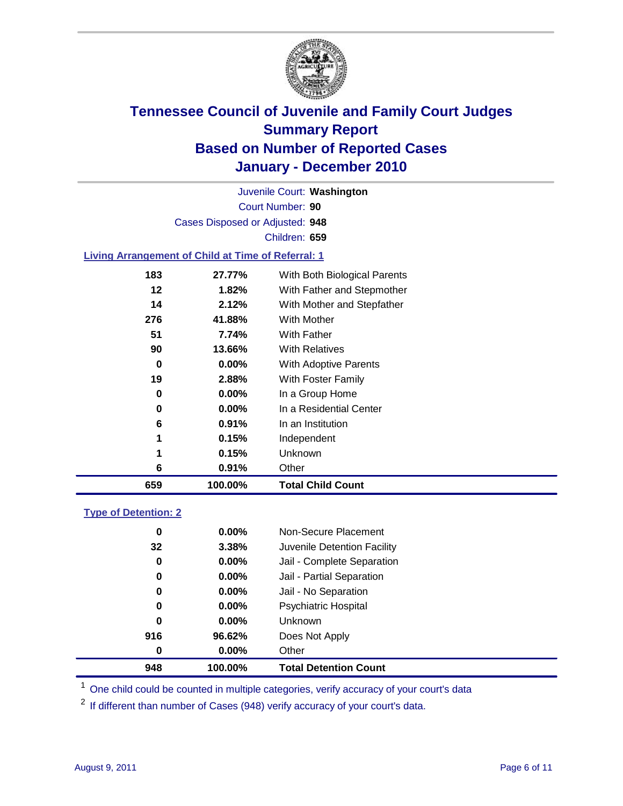

Court Number: **90** Juvenile Court: **Washington** Cases Disposed or Adjusted: **948** Children: **659**

### **Living Arrangement of Child at Time of Referral: 1**

| 659 | 100.00%  | <b>Total Child Count</b>     |
|-----|----------|------------------------------|
| 6   | 0.91%    | Other                        |
| 1   | 0.15%    | <b>Unknown</b>               |
| 1   | 0.15%    | Independent                  |
| 6   | 0.91%    | In an Institution            |
| 0   | $0.00\%$ | In a Residential Center      |
| 0   | $0.00\%$ | In a Group Home              |
| 19  | 2.88%    | With Foster Family           |
| 0   | 0.00%    | With Adoptive Parents        |
| 90  | 13.66%   | <b>With Relatives</b>        |
| 51  | 7.74%    | With Father                  |
| 276 | 41.88%   | With Mother                  |
| 14  | 2.12%    | With Mother and Stepfather   |
| 12  | 1.82%    | With Father and Stepmother   |
| 183 | 27.77%   | With Both Biological Parents |
|     |          |                              |

#### **Type of Detention: 2**

| 948      | 100.00%  | <b>Total Detention Count</b> |  |
|----------|----------|------------------------------|--|
| $\bf{0}$ | 0.00%    | Other                        |  |
| 916      | 96.62%   | Does Not Apply               |  |
| 0        | $0.00\%$ | Unknown                      |  |
| 0        | $0.00\%$ | Psychiatric Hospital         |  |
| 0        | 0.00%    | Jail - No Separation         |  |
| 0        | $0.00\%$ | Jail - Partial Separation    |  |
| 0        | $0.00\%$ | Jail - Complete Separation   |  |
| 32       | 3.38%    | Juvenile Detention Facility  |  |
| 0        | $0.00\%$ | Non-Secure Placement         |  |
|          |          |                              |  |

<sup>1</sup> One child could be counted in multiple categories, verify accuracy of your court's data

<sup>2</sup> If different than number of Cases (948) verify accuracy of your court's data.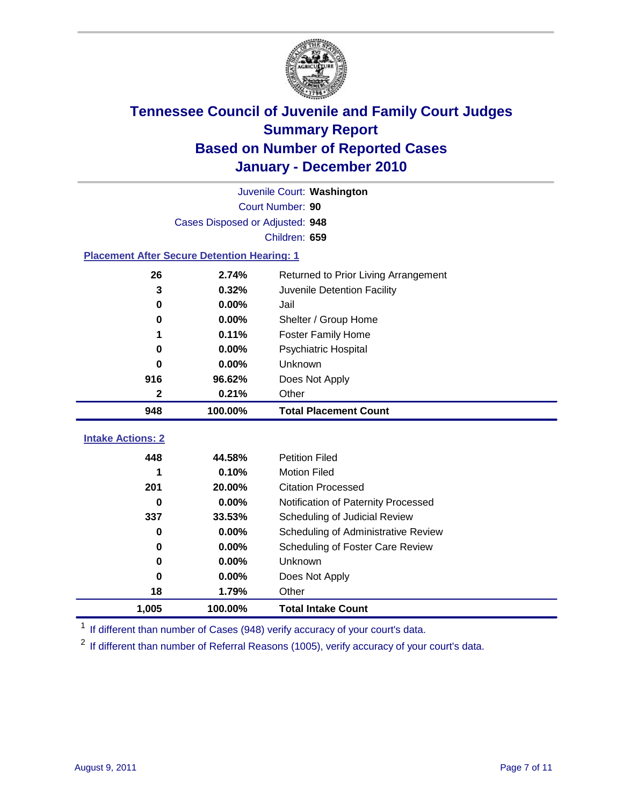

|                                                    | Juvenile Court: Washington      |                                      |  |  |
|----------------------------------------------------|---------------------------------|--------------------------------------|--|--|
|                                                    | Court Number: 90                |                                      |  |  |
|                                                    | Cases Disposed or Adjusted: 948 |                                      |  |  |
|                                                    |                                 | Children: 659                        |  |  |
| <b>Placement After Secure Detention Hearing: 1</b> |                                 |                                      |  |  |
| 26                                                 | 2.74%                           | Returned to Prior Living Arrangement |  |  |
| 3                                                  | 0.32%                           | Juvenile Detention Facility          |  |  |
| 0                                                  | 0.00%                           | Jail                                 |  |  |
| 0                                                  | 0.00%                           | Shelter / Group Home                 |  |  |
| 1                                                  | 0.11%                           | <b>Foster Family Home</b>            |  |  |
| 0                                                  | 0.00%                           | Psychiatric Hospital                 |  |  |
| 0                                                  | 0.00%                           | <b>Unknown</b>                       |  |  |
| 916                                                | 96.62%                          | Does Not Apply                       |  |  |
| $\mathbf 2$                                        | 0.21%                           | Other                                |  |  |
| 948                                                | 100.00%                         | <b>Total Placement Count</b>         |  |  |
|                                                    |                                 |                                      |  |  |
| <b>Intake Actions: 2</b>                           |                                 |                                      |  |  |
| 448                                                | 44.58%                          | <b>Petition Filed</b>                |  |  |
| 1                                                  | 0.10%                           | <b>Motion Filed</b>                  |  |  |
| 201                                                | 20.00%                          | <b>Citation Processed</b>            |  |  |
| 0                                                  | 0.00%                           | Notification of Paternity Processed  |  |  |
| 337                                                | 33.53%                          | Scheduling of Judicial Review        |  |  |
| 0                                                  | 0.00%                           | Scheduling of Administrative Review  |  |  |
| 0                                                  | 0.00%                           | Scheduling of Foster Care Review     |  |  |
| 0                                                  | 0.00%                           | Unknown                              |  |  |
| 0                                                  | 0.00%                           | Does Not Apply                       |  |  |
| 18                                                 | 1.79%                           | Other                                |  |  |
| 1,005                                              | 100.00%                         | <b>Total Intake Count</b>            |  |  |

<sup>1</sup> If different than number of Cases (948) verify accuracy of your court's data.

<sup>2</sup> If different than number of Referral Reasons (1005), verify accuracy of your court's data.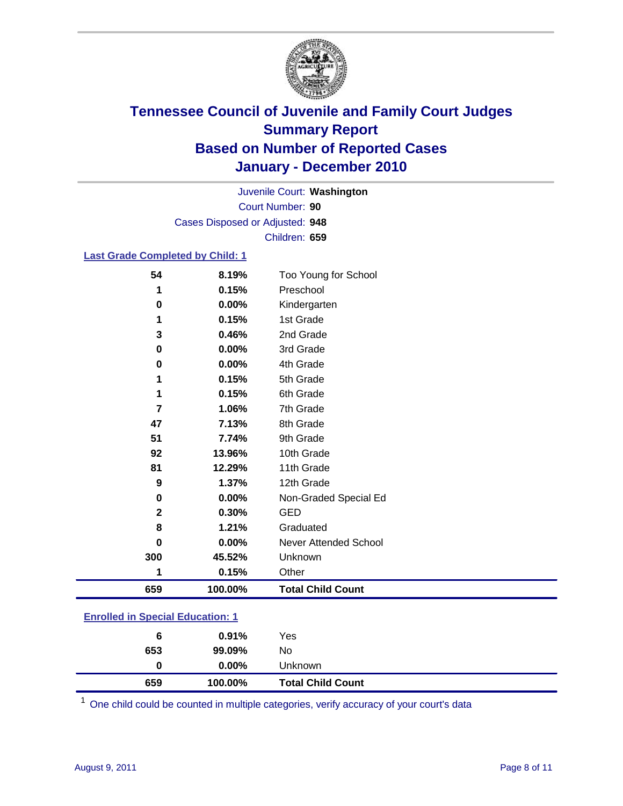

Court Number: **90** Juvenile Court: **Washington** Cases Disposed or Adjusted: **948** Children: **659**

### **Last Grade Completed by Child: 1**

| 659 | 100.00%              | <b>Total Child Count</b>          |  |
|-----|----------------------|-----------------------------------|--|
|     | 0.15%<br>1           | Other                             |  |
| 300 | 45.52%               | Unknown                           |  |
|     | 0.00%<br>0           | Never Attended School             |  |
|     | 8<br>1.21%           | Graduated                         |  |
|     | $\mathbf 2$<br>0.30% | <b>GED</b>                        |  |
|     | 0.00%<br>$\pmb{0}$   | Non-Graded Special Ed             |  |
|     | 9<br>1.37%           | 12th Grade                        |  |
| 81  | 12.29%               | 11th Grade                        |  |
|     | 92<br>13.96%         | 10th Grade                        |  |
| 51  | 7.74%                | 9th Grade                         |  |
| 47  | 7.13%                | 8th Grade                         |  |
|     | 7<br>1.06%           | 7th Grade                         |  |
|     | 0.15%<br>1           | 6th Grade                         |  |
|     | 0.15%<br>1           | 5th Grade                         |  |
|     | 0<br>$0.00\%$        | 4th Grade                         |  |
|     | $0.00\%$<br>$\bf{0}$ | 3rd Grade                         |  |
|     | 3<br>0.46%           | 2nd Grade                         |  |
|     | 0.15%<br>1           | 1st Grade                         |  |
|     | 0<br>0.00%           | Kindergarten                      |  |
| 54  | 8.19%<br>0.15%<br>1  | Too Young for School<br>Preschool |  |

### **Enrolled in Special Education: 1**

| 659 | 100.00%  | <b>Total Child Count</b> |  |
|-----|----------|--------------------------|--|
| 0   | $0.00\%$ | <b>Unknown</b>           |  |
| 653 | 99.09%   | No.                      |  |
| 6   | $0.91\%$ | Yes                      |  |
|     |          |                          |  |

One child could be counted in multiple categories, verify accuracy of your court's data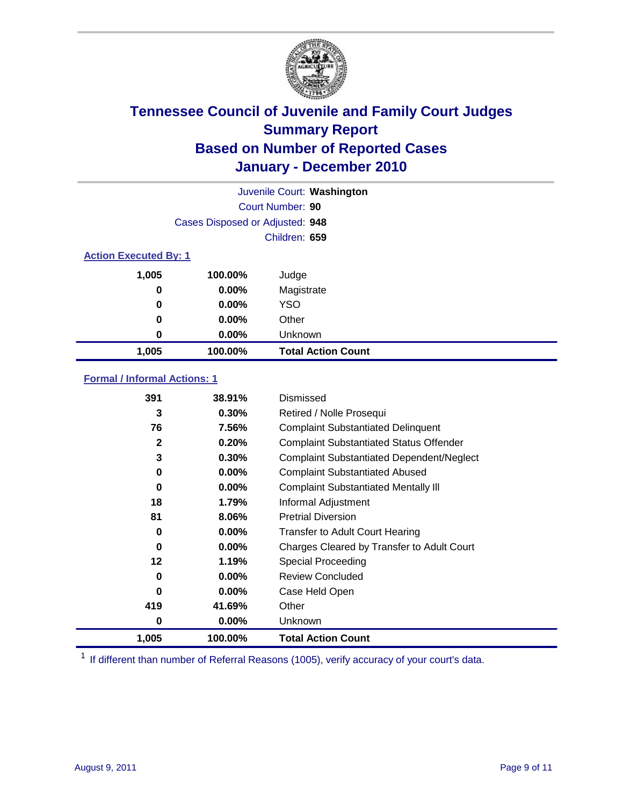

|       |                                 | Juvenile Court: Washington |  |  |  |
|-------|---------------------------------|----------------------------|--|--|--|
|       |                                 | Court Number: 90           |  |  |  |
|       | Cases Disposed or Adjusted: 948 |                            |  |  |  |
|       |                                 | Children: 659              |  |  |  |
|       | <b>Action Executed By: 1</b>    |                            |  |  |  |
| 1,005 | 100.00%                         | Judge                      |  |  |  |
| 0     | $0.00\%$                        | Magistrate                 |  |  |  |
| 0     | $0.00\%$                        | <b>YSO</b>                 |  |  |  |
| 0     | $0.00\%$                        | Other                      |  |  |  |
| 0     | 0.00%                           | Unknown                    |  |  |  |
| 1,005 | 100.00%                         | <b>Total Action Count</b>  |  |  |  |

### **Formal / Informal Actions: 1**

| 391   | 38.91%   | Dismissed                                        |
|-------|----------|--------------------------------------------------|
| 3     | $0.30\%$ | Retired / Nolle Prosequi                         |
| 76    | 7.56%    | <b>Complaint Substantiated Delinquent</b>        |
| 2     | 0.20%    | <b>Complaint Substantiated Status Offender</b>   |
| 3     | 0.30%    | <b>Complaint Substantiated Dependent/Neglect</b> |
| 0     | $0.00\%$ | <b>Complaint Substantiated Abused</b>            |
| 0     | $0.00\%$ | <b>Complaint Substantiated Mentally III</b>      |
| 18    | 1.79%    | Informal Adjustment                              |
| 81    | $8.06\%$ | <b>Pretrial Diversion</b>                        |
| 0     | $0.00\%$ | <b>Transfer to Adult Court Hearing</b>           |
| 0     | $0.00\%$ | Charges Cleared by Transfer to Adult Court       |
| 12    | 1.19%    | Special Proceeding                               |
| 0     | $0.00\%$ | <b>Review Concluded</b>                          |
| 0     | $0.00\%$ | Case Held Open                                   |
| 419   | 41.69%   | Other                                            |
| 0     | $0.00\%$ | <b>Unknown</b>                                   |
| 1,005 | 100.00%  | <b>Total Action Count</b>                        |

<sup>1</sup> If different than number of Referral Reasons (1005), verify accuracy of your court's data.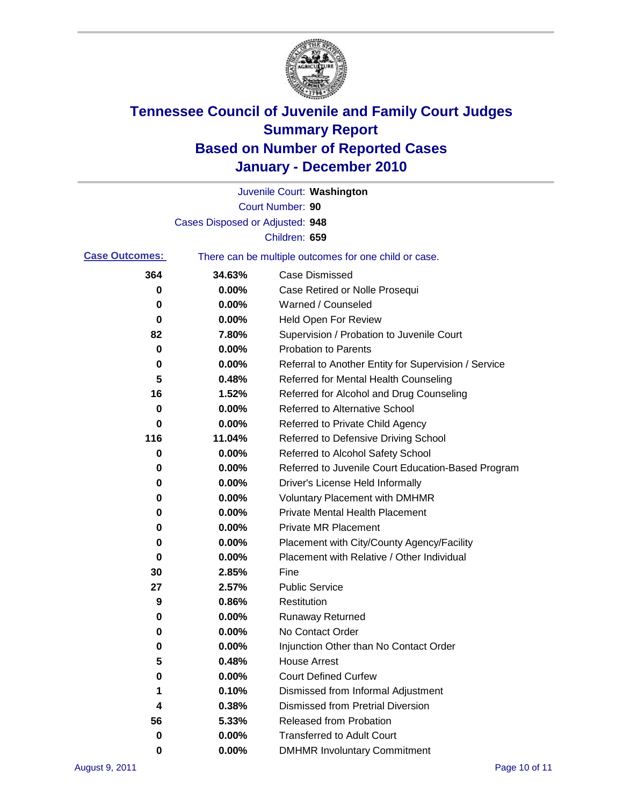

|                       |                                                       | Juvenile Court: Washington                           |  |
|-----------------------|-------------------------------------------------------|------------------------------------------------------|--|
|                       |                                                       | Court Number: 90                                     |  |
|                       | Cases Disposed or Adjusted: 948                       |                                                      |  |
|                       |                                                       | Children: 659                                        |  |
| <b>Case Outcomes:</b> | There can be multiple outcomes for one child or case. |                                                      |  |
| 364                   | 34.63%                                                | <b>Case Dismissed</b>                                |  |
| 0                     | 0.00%                                                 | Case Retired or Nolle Prosequi                       |  |
| 0                     | 0.00%                                                 | Warned / Counseled                                   |  |
| 0                     | 0.00%                                                 | Held Open For Review                                 |  |
| 82                    | 7.80%                                                 | Supervision / Probation to Juvenile Court            |  |
| 0                     | 0.00%                                                 | <b>Probation to Parents</b>                          |  |
| 0                     | 0.00%                                                 | Referral to Another Entity for Supervision / Service |  |
| 5                     | 0.48%                                                 | Referred for Mental Health Counseling                |  |
| 16                    | 1.52%                                                 | Referred for Alcohol and Drug Counseling             |  |
| 0                     | 0.00%                                                 | Referred to Alternative School                       |  |
| 0                     | 0.00%                                                 | Referred to Private Child Agency                     |  |
| 116                   | 11.04%                                                | Referred to Defensive Driving School                 |  |
| 0                     | 0.00%                                                 | Referred to Alcohol Safety School                    |  |
| 0                     | 0.00%                                                 | Referred to Juvenile Court Education-Based Program   |  |
| 0                     | 0.00%                                                 | Driver's License Held Informally                     |  |
| 0                     | 0.00%                                                 | <b>Voluntary Placement with DMHMR</b>                |  |
| 0                     | 0.00%                                                 | <b>Private Mental Health Placement</b>               |  |
| 0                     | 0.00%                                                 | <b>Private MR Placement</b>                          |  |
| 0                     | 0.00%                                                 | Placement with City/County Agency/Facility           |  |
| 0                     | 0.00%                                                 | Placement with Relative / Other Individual           |  |
| 30                    | 2.85%                                                 | Fine                                                 |  |
| 27                    | 2.57%                                                 | <b>Public Service</b>                                |  |
| 9                     | 0.86%                                                 | Restitution                                          |  |
| 0                     | 0.00%                                                 | <b>Runaway Returned</b>                              |  |
| 0                     | 0.00%                                                 | No Contact Order                                     |  |
| 0                     | 0.00%                                                 | Injunction Other than No Contact Order               |  |
| 5                     | 0.48%                                                 | <b>House Arrest</b>                                  |  |
| 0                     | 0.00%                                                 | <b>Court Defined Curfew</b>                          |  |
| 1                     | 0.10%                                                 | Dismissed from Informal Adjustment                   |  |
| 4                     | 0.38%                                                 | <b>Dismissed from Pretrial Diversion</b>             |  |
| 56                    | 5.33%                                                 | Released from Probation                              |  |
| 0                     | 0.00%                                                 | <b>Transferred to Adult Court</b>                    |  |
| 0                     | 0.00%                                                 | <b>DMHMR Involuntary Commitment</b>                  |  |